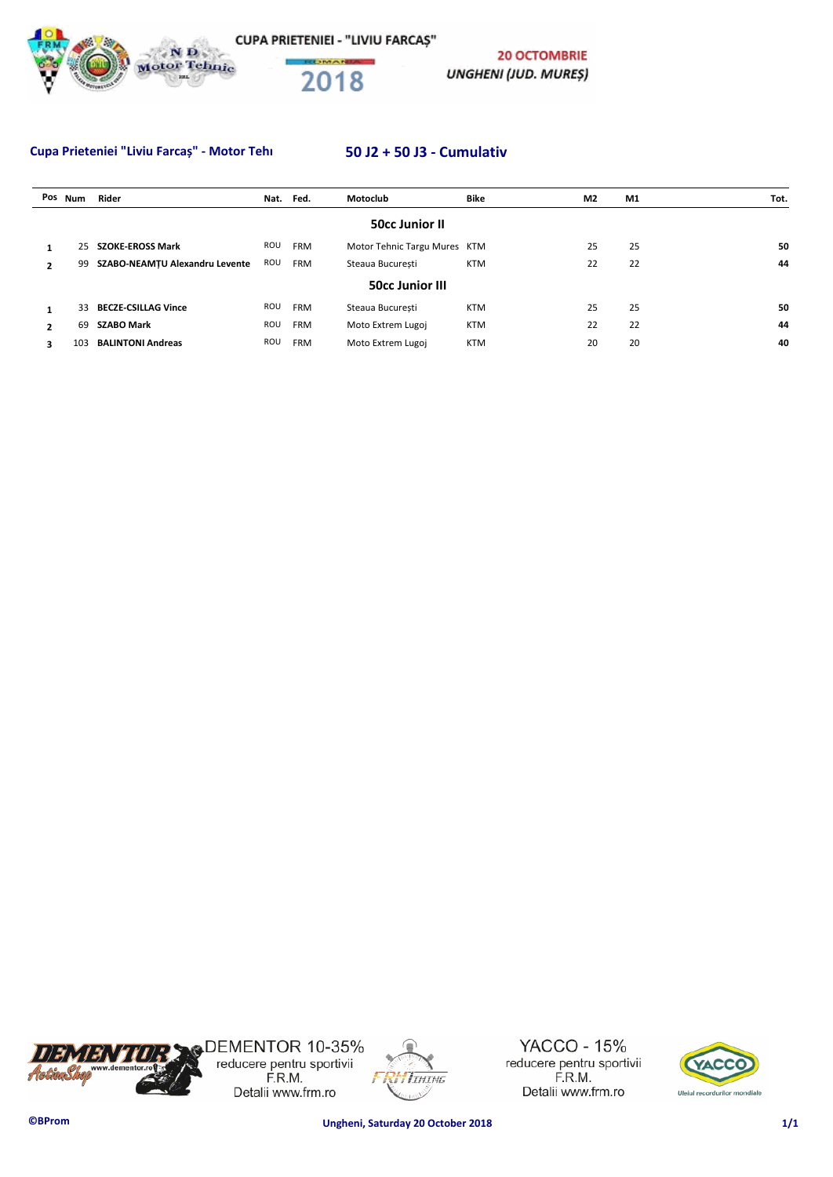



**20 OCTOMBRIE UNGHENI (JUD. MURES)** 

## Cupa Prieteniei "Liviu Farcaș" - Motor Tehnic Mar **50 J2 + 50 J3 - Cumulativ**

|                | Pos Num | Rider                          | Nat. | Fed.       | Motoclub                     | Bike       | M <sub>2</sub> | M1 | Tot. |
|----------------|---------|--------------------------------|------|------------|------------------------------|------------|----------------|----|------|
|                |         |                                |      |            | <b>50cc Junior II</b>        |            |                |    |      |
|                | 25      | <b>SZOKE-EROSS Mark</b>        | ROU  | <b>FRM</b> | Motor Tehnic Targu Mures KTM |            | 25             | 25 | 50   |
| 2              | 99      | SZABO-NEAMTU Alexandru Levente | ROU  | <b>FRM</b> | Steaua Bucuresti             | <b>KTM</b> | 22             | 22 | 44   |
|                |         |                                |      |            | <b>50cc Junior III</b>       |            |                |    |      |
|                | 33      | <b>BECZE-CSILLAG Vince</b>     | ROU  | <b>FRM</b> | Steaua Bucuresti             | <b>KTM</b> | 25             | 25 | 50   |
| $\overline{2}$ | 69      | <b>SZABO Mark</b>              | ROU  | <b>FRM</b> | Moto Extrem Lugoj            | <b>KTM</b> | 22             | 22 | 44   |
| 3              | 103     | <b>BALINTONI Andreas</b>       | ROU  | <b>FRM</b> | Moto Extrem Lugoj            | <b>KTM</b> | 20             | 20 | 40   |



DEMENTOR 10-35%<br>reducere pentru sportivii<br>F.R.M. Detalii www.frm.ro



**YACCO - 15%** reducere pentru sportivii F.R.M. Detalii www.frm.ro

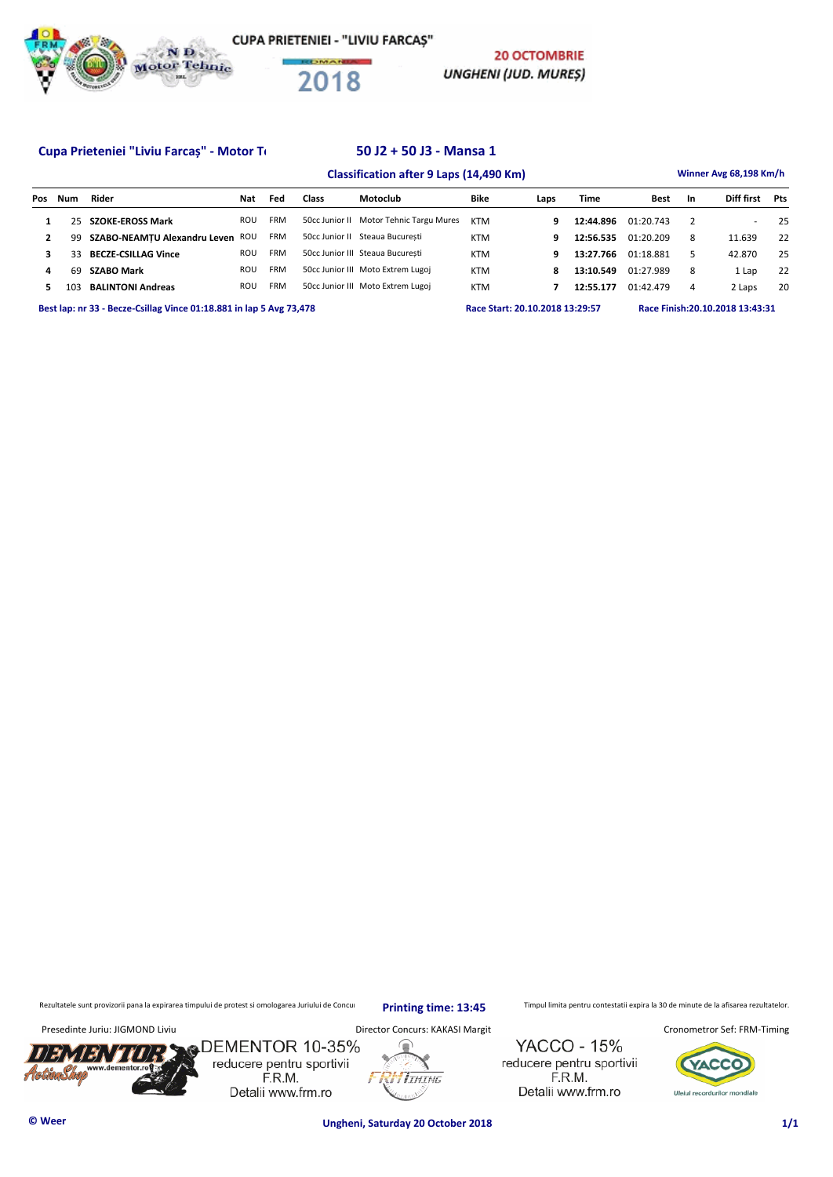



**20 OCTOMBRIE UNGHENI (JUD. MURES)** 

### Cupa Prieteniei "Liviu Farcaș" - Motor Tehnic March 1908 - 50 J2 + 50 J3 - Mansa 1

# **Classification after 9 Laps (14,490 Km) Winner Avg 68,198 Km/h Pos Num Rider Nat Fed Class Motoclub Bike Laps Time Best In Diff first Pts 1** 25 **SZOKE-EROSS Mark** ROU FRM 50cc Junior II Motor Tehnic Targu Mures KTM **9 12:44.896** 01:20.743 2 - 25 **2 99 SZABO-NEAMȚU Alexandru Leven** ROU FRM 50cc Junior II Steaua București KTM **9 12:56.535** 01:20.209 8 11.639 22  **3** 33 **BECZE-CSILLAG Vince** ROU FRM 50cc Junior III Steaua București KTM **9 13:27.766** 01:18.881 5 42.870 25  **4** 69 **SZABO Mark** ROU FRM 50cc Junior III Moto Extrem Lugoj KTM **8 13:10.549** 01:27.989 8 1 Lap 22  **5** 103 **BALINTONI Andreas** ROU FRM 50cc Junior III Moto Extrem Lugoj KTM **7 12:55.177** 01:42.479 4 2 Laps 20 **Best lap: nr 33 - Becze-Csillag Vince 01:18.881 in lap 5 Avg 73,478 Race Start: 20.10.2018 13:29:57 Race Finish:20.10.2018 13:43:31**

Rezultatele sunt provizorii pana la expirarea timpului de protest si omologarea Juriului de Concurs. printin primpul 19:45 Timpul limita pentru contestatii expira la 30 de minute de la afisarea rezultatelor.

**Printing time: 13:45**

**I**IHING

Presedinte Juriu: JIGMOND Liviu **Director Concurs: KAKASI Margit Cronometror Sef: FRM-Timing** Cronometror Sef: FRM-Timing

**YACCO - 15%** reducere pentru sportivii F.R.M. Detalii www.frm.ro

**ZACC** Uleiul recordurilor mondiale

/5.'

sDEMENTOR 10-35% reducere pentru sportivii F.R.M. Detalii www.frm.ro



**© Weer Ungheni, Saturday 20 October 2018 1/1**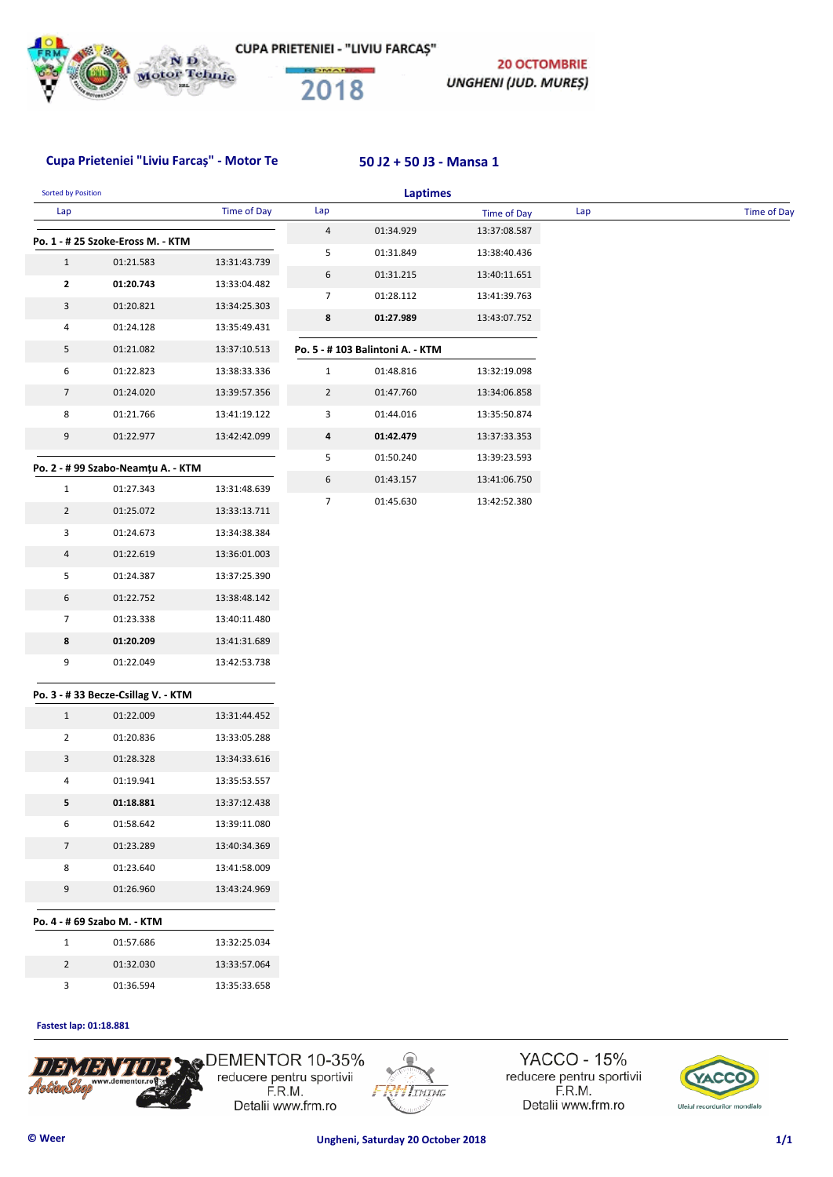

**20 OCTOMBRIE** UNGHENI (JUD. MUREȘ)

## Cupa Prieteniei "Liviu Farcaș" - Motor Te **50 J2 + 50 J3 - Mansa 1**

| Sorted by Position |                                    |                    |                | <b>Laptimes</b>                  |                    |     |             |
|--------------------|------------------------------------|--------------------|----------------|----------------------------------|--------------------|-----|-------------|
| Lap                |                                    | <b>Time of Day</b> | Lap            |                                  | <b>Time of Day</b> | Lap | Time of Day |
|                    | Po. 1 - # 25 Szoke-Eross M. - KTM  |                    | 4              | 01:34.929                        | 13:37:08.587       |     |             |
| $\mathbf{1}$       | 01:21.583                          | 13:31:43.739       | 5              | 01:31.849                        | 13:38:40.436       |     |             |
| 2                  | 01:20.743                          | 13:33:04.482       | 6              | 01:31.215                        | 13:40:11.651       |     |             |
| 3                  | 01:20.821                          | 13:34:25.303       | 7              | 01:28.112                        | 13:41:39.763       |     |             |
| 4                  | 01:24.128                          | 13:35:49.431       | 8              | 01:27.989                        | 13:43:07.752       |     |             |
| 5                  | 01:21.082                          | 13:37:10.513       |                | Po. 5 - # 103 Balintoni A. - KTM |                    |     |             |
| 6                  | 01:22.823                          | 13:38:33.336       | $\mathbf{1}$   | 01:48.816                        | 13:32:19.098       |     |             |
| $\overline{7}$     | 01:24.020                          | 13:39:57.356       | $\overline{2}$ | 01:47.760                        | 13:34:06.858       |     |             |
| 8                  | 01:21.766                          | 13:41:19.122       | 3              | 01:44.016                        | 13:35:50.874       |     |             |
| 9                  | 01:22.977                          | 13:42:42.099       | 4              | 01:42.479                        | 13:37:33.353       |     |             |
|                    |                                    |                    | 5              | 01:50.240                        | 13:39:23.593       |     |             |
|                    | Po. 2 - # 99 Szabo-Neamțu A. - KTM |                    | 6              | 01:43.157                        | 13:41:06.750       |     |             |
| $\mathbf{1}$       | 01:27.343                          | 13:31:48.639       | $\overline{7}$ | 01:45.630                        | 13:42:52.380       |     |             |
| $\overline{2}$     | 01:25.072                          | 13:33:13.711       |                |                                  |                    |     |             |
| 3                  | 01:24.673                          | 13:34:38.384       |                |                                  |                    |     |             |
| $\overline{a}$     | 01:22.619                          | 13:36:01.003       |                |                                  |                    |     |             |
| 5                  | 01:24.387                          | 13:37:25.390       |                |                                  |                    |     |             |
| 6                  | 01:22.752                          | 13:38:48.142       |                |                                  |                    |     |             |
| $\overline{7}$     | 01:23.338                          | 13:40:11.480       |                |                                  |                    |     |             |
| 8                  | 01:20.209                          | 13:41:31.689       |                |                                  |                    |     |             |
| 9                  | 01:22.049                          | 13:42:53.738       |                |                                  |                    |     |             |
|                    | Po. 3 - #33 Becze-Csillag V. - KTM |                    |                |                                  |                    |     |             |
| $\mathbf{1}$       | 01:22.009                          | 13:31:44.452       |                |                                  |                    |     |             |
| $\overline{2}$     | 01:20.836                          | 13:33:05.288       |                |                                  |                    |     |             |
| 3                  | 01:28.328                          | 13:34:33.616       |                |                                  |                    |     |             |
| 4                  | 01:19.941                          | 13:35:53.557       |                |                                  |                    |     |             |
| 5                  | 01:18.881                          | 13:37:12.438       |                |                                  |                    |     |             |
| 6                  | 01:58.642                          | 13:39:11.080       |                |                                  |                    |     |             |
| $\overline{7}$     | 01:23.289                          | 13:40:34.369       |                |                                  |                    |     |             |
| 8                  | 01:23.640                          | 13:41:58.009       |                |                                  |                    |     |             |
| 9                  | 01:26.960                          | 13:43:24.969       |                |                                  |                    |     |             |
|                    | Po. 4 - # 69 Szabo M. - KTM        |                    |                |                                  |                    |     |             |
| $\mathbf{1}$       | 01:57.686                          | 13:32:25.034       |                |                                  |                    |     |             |
| $\overline{2}$     | 01:32.030                          | 13:33:57.064       |                |                                  |                    |     |             |
| 3                  | 01:36.594                          | 13:35:33.658       |                |                                  |                    |     |             |
|                    |                                    |                    |                |                                  |                    |     |             |

### **Fastest lap: 01:18.881**



DEMENTOR 10-35% reducere pentru sportivii<br>F.R.M. Detalii www.frm.ro



YACCO - 15% reducere pentru sportivii<br>F.R.M. Detalii www.frm.ro

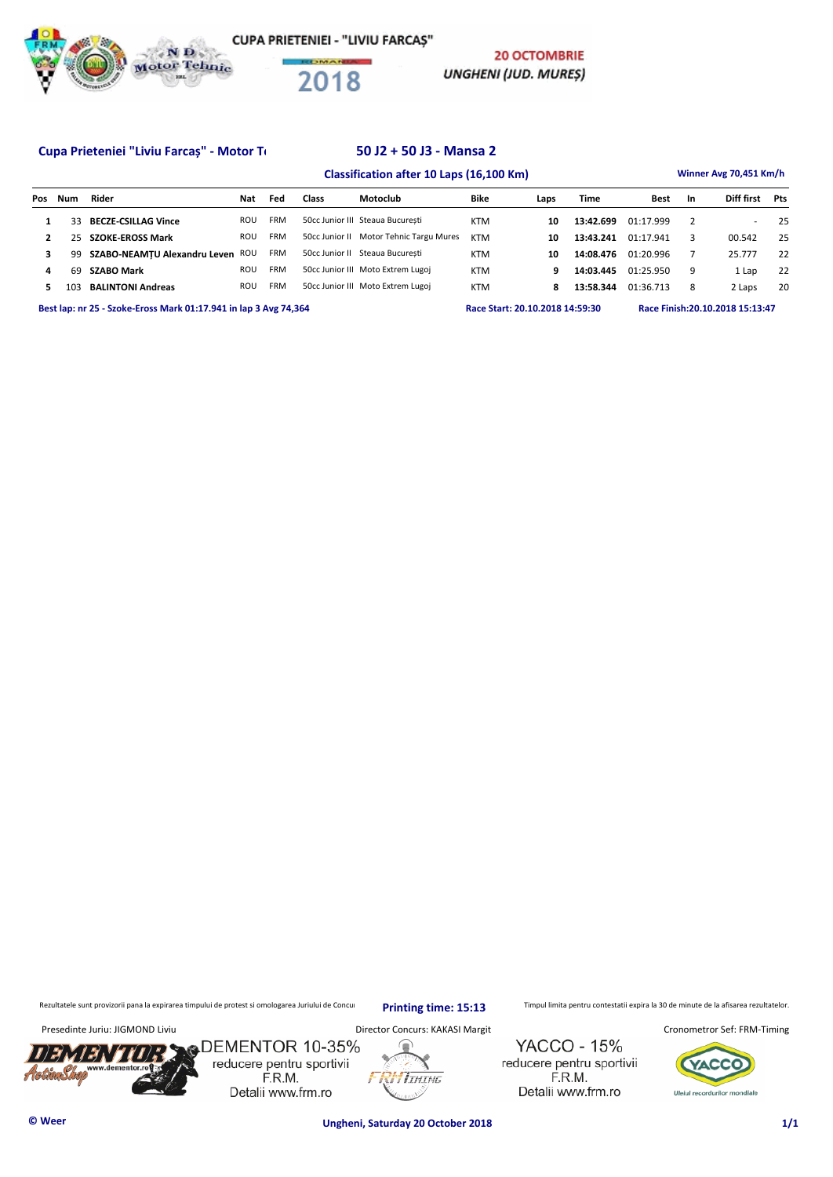

**CUPA PRIETENIEI - "LIVIU FARCAS"** 



**20 OCTOMBRIE UNGHENI (JUD. MURES)** 

### Cupa Prieteniei "Liviu Farcaș" - Motor Tehnic Mansa 2

# **Classification after 10 Laps (16,100 Km) Winner Avg 70,451 Km/h Pos Num Rider Nat Fed Class Motoclub Bike Laps Time Best In Diff first Pts 1** 33 **BECZE-CSILLAG Vince** ROU FRM 50cc Junior III Steaua București KTM **10 13:42.699** 01:17.999 2 - 25  **2** 25 **SZOKE-EROSS Mark** ROU FRM 50cc Junior II Motor Tehnic Targu Mures KTM **10 13:43.241** 01:17.941 3 00.542 25 **3 99 SZABO-NEAMȚU Alexandru Leven** ROU FRM 50cc Junior II Steaua București KTM **10 14:08.476** 01:20.996 7 25.777 22  **4** 69 **SZABO Mark** ROU FRM 50cc Junior III Moto Extrem Lugoj KTM **9 14:03.445** 01:25.950 9 1 Lap 22  **5** 103 **BALINTONI Andreas** ROU FRM 50cc Junior III Moto Extrem Lugoj KTM **8 13:58.344** 01:36.713 8 2 Laps 20 **Best lap: nr 25 - Szoke-Eross Mark 01:17.941 in lap 3 Avg 74,364 Race Start: 20.10.2018 14:59:30 Race Finish:20.10.2018 15:13:47**

Rezultatele sunt provizorii pana la expirarea timpului de protest si omologarea Juriului de Concurs. printin primpul limine : 15:13 Timpul limita pentru contestatii expira la 30 de minute de la afisarea rezultatelor.

**Printing time: 15:13**

/5.'



**© Weer Ungheni, Saturday 20 October 2018 1/1**

**I**IHING

**YACCO - 15%** 

reducere pentru sportivii

F.R.M.

Detalii www.frm.ro

Presedinte Juriu: JIGMOND Liviu **Director Concurs: KAKASI Margit Cronometror Sef: FRM-Timing** Cronometror Sef: FRM-Timing

**ZACC** Uleiul recordurilor mondiale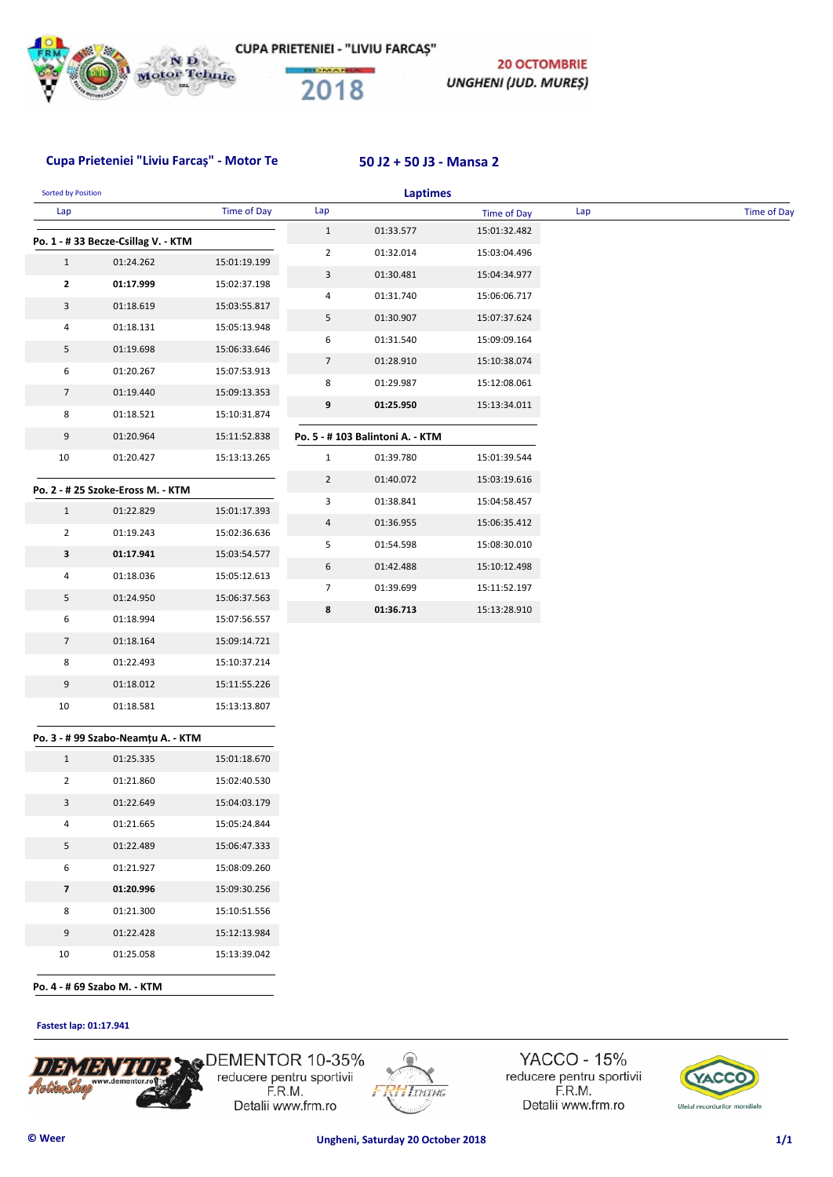

**20 OCTOMBRIE** UNGHENI (JUD. MUREȘ)

## **Cupa Prieteniei "Liviu Farcaș" - Motor Tehnic Tg M 50 J2 + 50 J3 - Mansa 2**

| <b>Sorted by Position</b> |                                    |                    |                | <b>Laptimes</b>                  |              |     |                    |
|---------------------------|------------------------------------|--------------------|----------------|----------------------------------|--------------|-----|--------------------|
| Lap                       |                                    | <b>Time of Day</b> | Lap            |                                  | Time of Day  | Lap | <b>Time of Day</b> |
|                           | Po. 1 - #33 Becze-Csillag V. - KTM |                    | $1\,$          | 01:33.577                        | 15:01:32.482 |     |                    |
| $\mathbf{1}$              | 01:24.262                          | 15:01:19.199       | 2              | 01:32.014                        | 15:03:04.496 |     |                    |
| 2                         | 01:17.999                          | 15:02:37.198       | 3              | 01:30.481                        | 15:04:34.977 |     |                    |
| 3                         | 01:18.619                          | 15:03:55.817       | 4              | 01:31.740                        | 15:06:06.717 |     |                    |
| 4                         | 01:18.131                          | 15:05:13.948       | 5              | 01:30.907                        | 15:07:37.624 |     |                    |
| 5                         | 01:19.698                          | 15:06:33.646       | 6              | 01:31.540                        | 15:09:09.164 |     |                    |
| 6                         | 01:20.267                          | 15:07:53.913       | $\overline{7}$ | 01:28.910                        | 15:10:38.074 |     |                    |
| $\overline{7}$            | 01:19.440                          | 15:09:13.353       | 8              | 01:29.987                        | 15:12:08.061 |     |                    |
| 8                         | 01:18.521                          | 15:10:31.874       | 9              | 01:25.950                        | 15:13:34.011 |     |                    |
| 9                         | 01:20.964                          | 15:11:52.838       |                | Po. 5 - # 103 Balintoni A. - KTM |              |     |                    |
| $10\,$                    | 01:20.427                          | 15:13:13.265       | $\mathbf{1}$   | 01:39.780                        | 15:01:39.544 |     |                    |
|                           |                                    |                    | $\overline{2}$ | 01:40.072                        | 15:03:19.616 |     |                    |
|                           | Po. 2 - # 25 Szoke-Eross M. - KTM  |                    | 3              | 01:38.841                        | 15:04:58.457 |     |                    |
| $\mathbf{1}$              | 01:22.829                          | 15:01:17.393       | $\overline{4}$ | 01:36.955                        | 15:06:35.412 |     |                    |
| $\overline{2}$            | 01:19.243                          | 15:02:36.636       | 5              | 01:54.598                        | 15:08:30.010 |     |                    |
| 3                         | 01:17.941                          | 15:03:54.577       | 6              | 01:42.488                        | 15:10:12.498 |     |                    |
| $\overline{\mathbf{r}}$   | 01:18.036                          | 15:05:12.613       | $\overline{7}$ | 01:39.699                        | 15:11:52.197 |     |                    |
| 5                         | 01:24.950                          | 15:06:37.563       | 8              | 01:36.713                        | 15:13:28.910 |     |                    |
| 6                         | 01:18.994                          | 15:07:56.557       |                |                                  |              |     |                    |
| $\overline{7}$            | 01:18.164                          | 15:09:14.721       |                |                                  |              |     |                    |
| 8                         | 01:22.493                          | 15:10:37.214       |                |                                  |              |     |                    |
| 9                         | 01:18.012                          | 15:11:55.226       |                |                                  |              |     |                    |
| 10                        | 01:18.581                          | 15:13:13.807       |                |                                  |              |     |                    |
|                           | Po. 3 - # 99 Szabo-Neamțu A. - KTM |                    |                |                                  |              |     |                    |
| $\mathbf{1}$              | 01:25.335                          | 15:01:18.670       |                |                                  |              |     |                    |
| $\overline{2}$            | 01:21.860                          | 15:02:40.530       |                |                                  |              |     |                    |
| 3                         | 01:22.649                          | 15:04:03.179       |                |                                  |              |     |                    |
| 4                         | 01:21.665                          | 15:05:24.844       |                |                                  |              |     |                    |
| 5                         | 01:22.489                          | 15:06:47.333       |                |                                  |              |     |                    |
| 6                         | 01:21.927                          | 15:08:09.260       |                |                                  |              |     |                    |
| 7                         | 01:20.996                          | 15:09:30.256       |                |                                  |              |     |                    |
| 8                         | 01:21.300                          | 15:10:51.556       |                |                                  |              |     |                    |
| 9                         | 01:22.428                          | 15:12:13.984       |                |                                  |              |     |                    |
| $10\,$                    | 01:25.058                          | 15:13:39.042       |                |                                  |              |     |                    |

**Fastest lap: 01:17.941** 



DEMENTOR 10-35% reducere pentru sportivii F.R.M. Detalii www.frm.ro



YACCO - 15% reducere pentru sportivii F.R.M. Detalii www.frm.ro

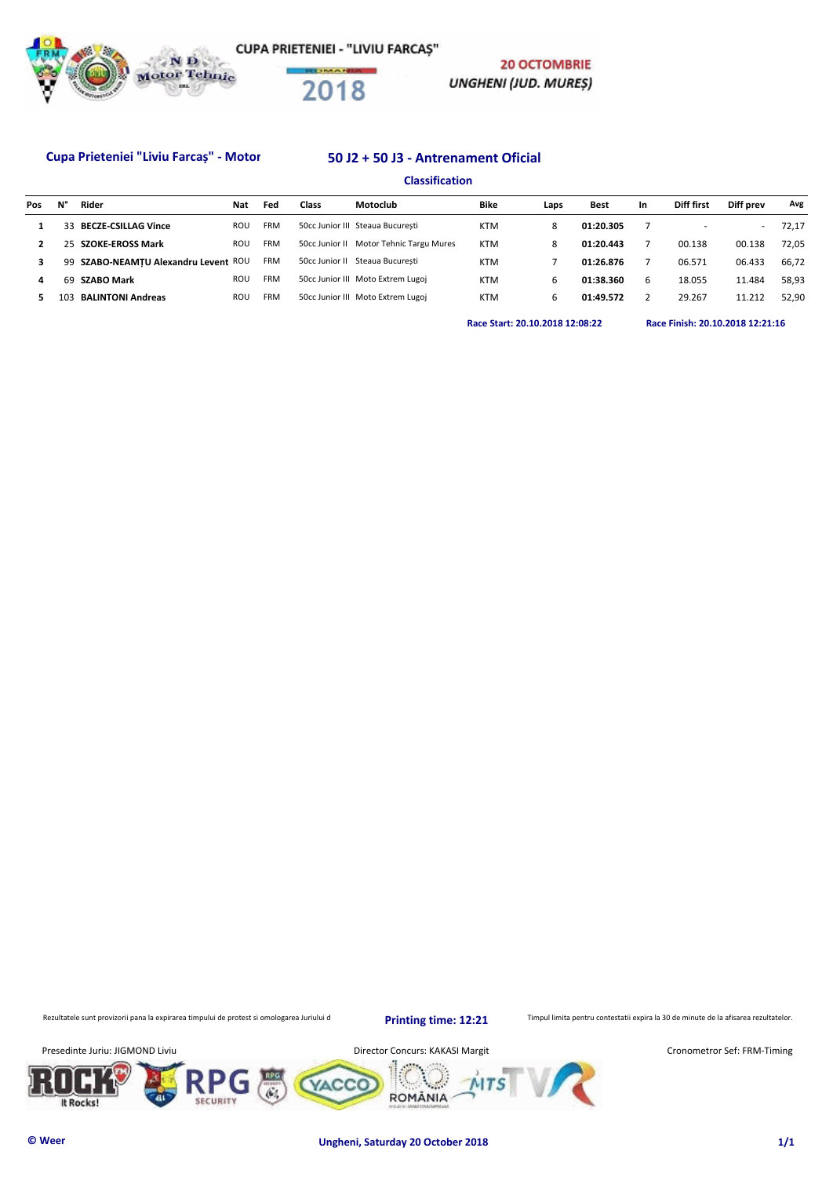

### Cupa Prieteniei "Liviu Farcaș" - Motor 50 J2 + 50 J3 - Antrenament Oficial

## **Classification**

| Pos | N° | Rider                             | Nat | Fed        | Class | Motoclub                                | Bike       | Laps | <b>Best</b> | In. | Diff first | Diff prev                | Avg   |
|-----|----|-----------------------------------|-----|------------|-------|-----------------------------------------|------------|------|-------------|-----|------------|--------------------------|-------|
|     | 33 | <b>BECZE-CSILLAG Vince</b>        | ROU | <b>FRM</b> |       | 50cc Junior III Steaua București        | <b>KTM</b> | 8    | 01:20.305   |     |            | $\overline{\phantom{a}}$ | 72.17 |
|     | 25 | <b>SZOKE-EROSS Mark</b>           | ROU | <b>FRM</b> |       | 50cc Junior II Motor Tehnic Targu Mures | <b>KTM</b> | 8    | 01:20.443   |     | 00.138     | 00.138                   | 72.05 |
|     | 99 | SZABO-NEAMTU Alexandru Levent ROU |     | <b>FRM</b> |       | 50cc Junior II Steaua Bucuresti         | <b>KTM</b> |      | 01:26.876   |     | 06.571     | 06.433                   | 66.72 |
| 4   | 69 | <b>SZABO Mark</b>                 | ROU | <b>FRM</b> |       | 50cc Junior III Moto Extrem Lugoj       | <b>KTM</b> | b    | 01:38.360   | 6   | 18.055     | 11.484                   | 58.93 |
|     |    | <b>BALINTONI Andreas</b>          | ROU | <b>FRM</b> |       | 50cc Junior III Moto Extrem Lugoj       | <b>KTM</b> | b    | 01:49.572   |     | 29.267     | 11.212                   | 52.90 |
|     |    |                                   |     |            |       |                                         |            |      |             |     |            |                          |       |

**20 OCTOMBRIE** 

UNGHENI (JUD. MUREȘ)

**Race Start: 20.10.2018 12:08:22 Race Finish: 20.10.2018 12:21:16** 

Rezultatele sunt provizorii pana la expirarea timpului de protest si omologarea Juriului d

**Printing time: 12:21**

Timpul limita pentru contestatii expira la 30 de minute de la afisarea rezultatelor.

Presedinte Juriu: JIGMOND Liviu **Director Concurs: KAKASI Margit** 









Cronometror Sef: FRM-Timing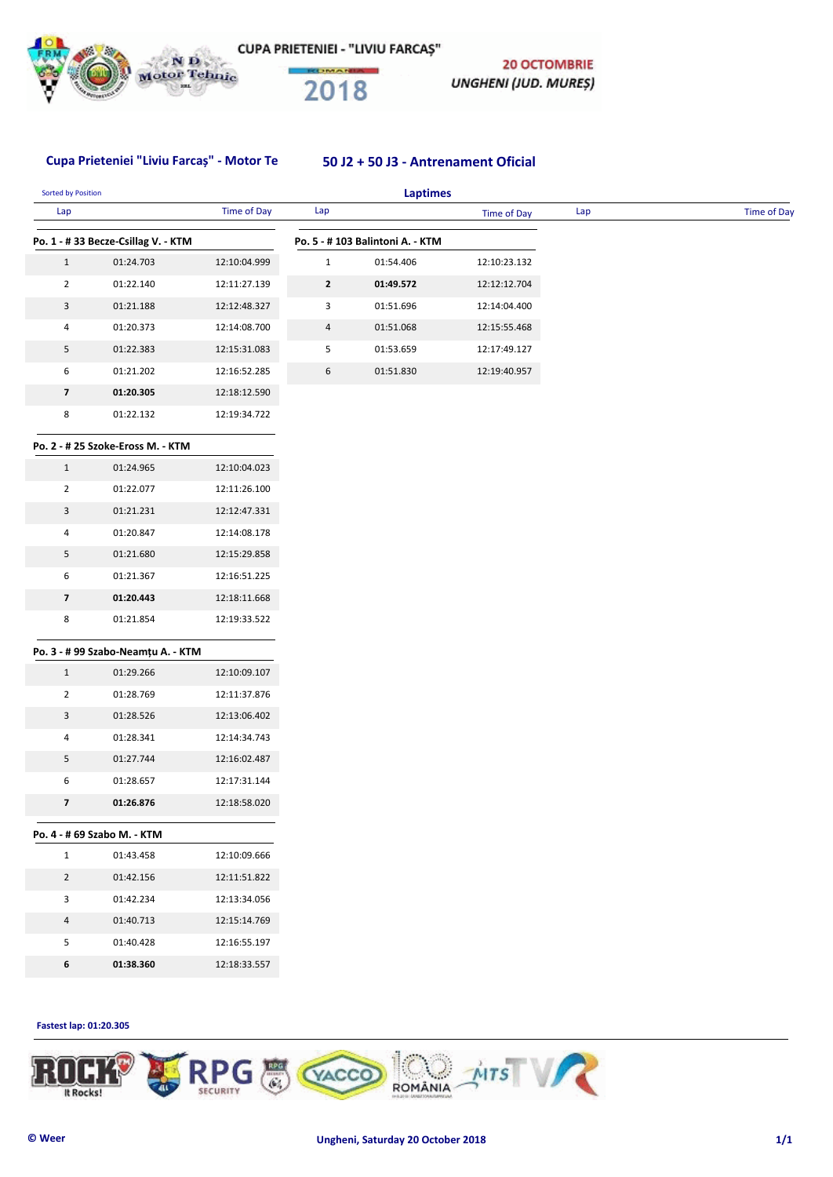

**20 OCTOMBRIE** UNGHENI (JUD. MUREȘ)

# Cupa Prieteniei "Liviu Farcaș" - Motor Tehnic 10 J2 + 50 J3 - Antrenament Oficial

| Lap                      |                                    | <b>Time of Day</b> | Lap            |                                 | Time of Day  | Lap | Time of Day |
|--------------------------|------------------------------------|--------------------|----------------|---------------------------------|--------------|-----|-------------|
|                          |                                    |                    |                |                                 |              |     |             |
|                          | Po. 1 - #33 Becze-Csillag V. - KTM |                    |                | Po. 5 - #103 Balintoni A. - KTM |              |     |             |
| $\mathbf{1}$             | 01:24.703                          | 12:10:04.999       | $\mathbf{1}$   | 01:54.406                       | 12:10:23.132 |     |             |
| $\overline{2}$           | 01:22.140                          | 12:11:27.139       | $\mathbf{2}$   | 01:49.572                       | 12:12:12.704 |     |             |
| 3                        | 01:21.188                          | 12:12:48.327       | 3              | 01:51.696                       | 12:14:04.400 |     |             |
| 4                        | 01:20.373                          | 12:14:08.700       | $\overline{4}$ | 01:51.068                       | 12:15:55.468 |     |             |
| 5                        | 01:22.383                          | 12:15:31.083       | 5              | 01:53.659                       | 12:17:49.127 |     |             |
| 6                        | 01:21.202                          | 12:16:52.285       | 6              | 01:51.830                       | 12:19:40.957 |     |             |
| $\overline{\phantom{a}}$ | 01:20.305                          | 12:18:12.590       |                |                                 |              |     |             |
| 8                        | 01:22.132                          | 12:19:34.722       |                |                                 |              |     |             |
|                          | Po. 2 - # 25 Szoke-Eross M. - KTM  |                    |                |                                 |              |     |             |
| $\mathbf{1}$             | 01:24.965                          | 12:10:04.023       |                |                                 |              |     |             |
| $\overline{2}$           | 01:22.077                          | 12:11:26.100       |                |                                 |              |     |             |
| 3                        | 01:21.231                          | 12:12:47.331       |                |                                 |              |     |             |
| $\overline{a}$           | 01:20.847                          | 12:14:08.178       |                |                                 |              |     |             |
| 5                        | 01:21.680                          | 12:15:29.858       |                |                                 |              |     |             |
| 6                        | 01:21.367                          | 12:16:51.225       |                |                                 |              |     |             |
| $\overline{\mathbf{z}}$  | 01:20.443                          | 12:18:11.668       |                |                                 |              |     |             |
| 8                        | 01:21.854                          | 12:19:33.522       |                |                                 |              |     |             |
|                          | Po. 3 - # 99 Szabo-Neamțu A. - KTM |                    |                |                                 |              |     |             |
| $\mathbf{1}$             | 01:29.266                          | 12:10:09.107       |                |                                 |              |     |             |
| $\overline{2}$           | 01:28.769                          | 12:11:37.876       |                |                                 |              |     |             |
| 3                        | 01:28.526                          | 12:13:06.402       |                |                                 |              |     |             |
| $\overline{a}$           | 01:28.341                          | 12:14:34.743       |                |                                 |              |     |             |
| 5                        | 01:27.744                          | 12:16:02.487       |                |                                 |              |     |             |
| 6                        | 01:28.657                          | 12:17:31.144       |                |                                 |              |     |             |
| 7                        | 01:26.876                          | 12:18:58.020       |                |                                 |              |     |             |
|                          |                                    |                    |                |                                 |              |     |             |
|                          | Po. 4 - # 69 Szabo M. - KTM        |                    |                |                                 |              |     |             |
| $\mathbf{1}$             | 01:43.458                          | 12:10:09.666       |                |                                 |              |     |             |
| $\overline{2}$           | 01:42.156                          | 12:11:51.822       |                |                                 |              |     |             |
| 3                        | 01:42.234                          | 12:13:34.056       |                |                                 |              |     |             |
| 4                        | 01:40.713                          | 12:15:14.769       |                |                                 |              |     |             |
| 5                        | 01:40.428                          | 12:16:55.197       |                |                                 |              |     |             |
|                          |                                    | 12:18:33.557       |                |                                 |              |     |             |

**Fastest lap: 01:20.305** 

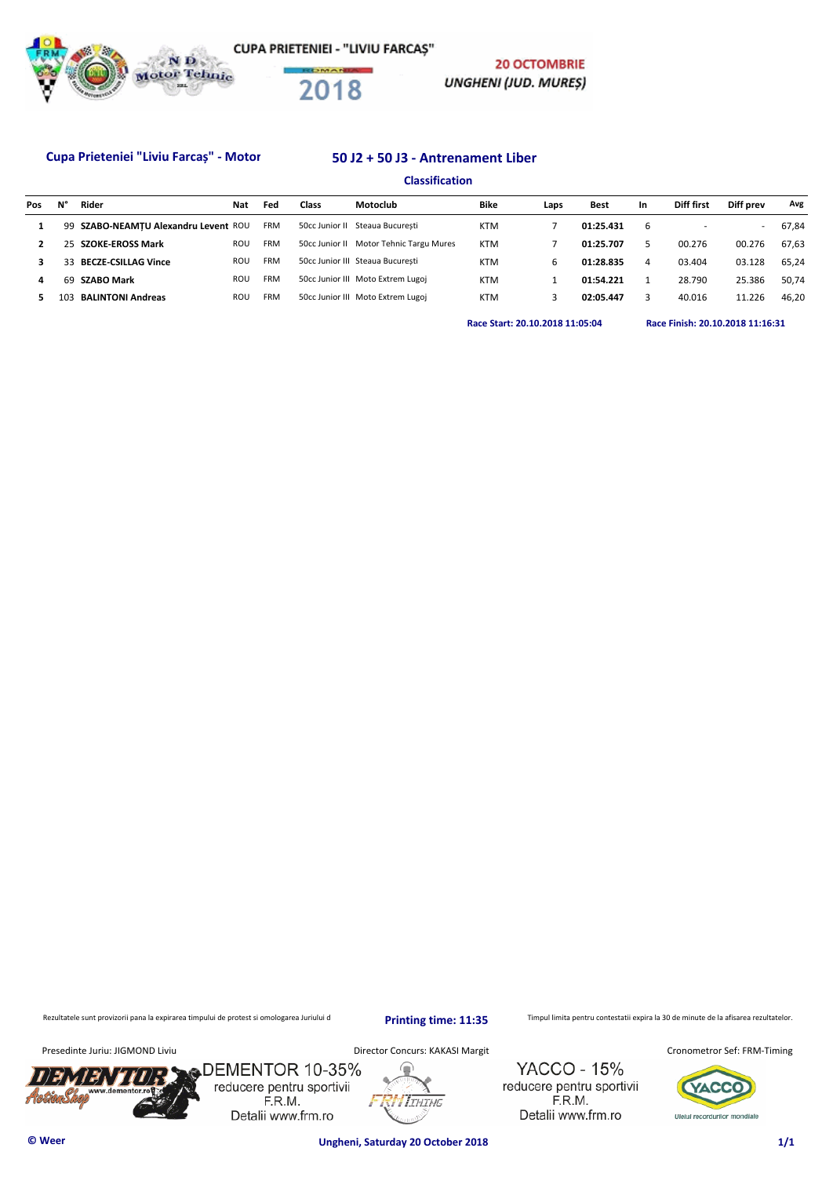

### Cupa Prieteniei "Liviu Farcaș" - Motor 50 J2 + 50 J3 - Antrenament Liber

## **Classification**

| Pos | N°  | Rider                                | Nat | Fed        | Class          | Motoclub                                | Bike       | Laps | <b>Best</b> | <b>In</b> | Diff first | Diff prev | Avg   |
|-----|-----|--------------------------------------|-----|------------|----------------|-----------------------------------------|------------|------|-------------|-----------|------------|-----------|-------|
|     |     | 99 SZABO-NEAMTU Alexandru Levent ROU |     | <b>FRM</b> | 50cc Junior II | Steaua Bucuresti                        | <b>KTM</b> |      | 01:25.431   | 6         |            | $\sim$    | 67.84 |
|     |     | 25 SZOKE-EROSS Mark                  | ROU | <b>FRM</b> |                | 50cc Junior II Motor Tehnic Targu Mures | <b>KTM</b> |      | 01:25.707   |           | 00.276     | 00.276    | 67.63 |
|     |     | 33 BECZE-CSILLAG Vince               | ROU | <b>FRM</b> |                | 50cc Junior III Steaua Bucuresti        | <b>KTM</b> | 6    | 01:28.835   | 4         | 03.404     | 03.128    | 65.24 |
| 4   | 69  | <b>SZABO Mark</b>                    | ROU | <b>FRM</b> |                | 50cc Junior III Moto Extrem Lugoj       | <b>KTM</b> |      | 01:54.221   |           | 28.790     | 25.386    | 50.74 |
|     | 103 | <b>BALINTONI Andreas</b>             | ROU | <b>FRM</b> |                | 50cc Junior III Moto Extrem Lugoj       | <b>KTM</b> |      | 02:05.447   |           | 40.016     | 11.226    | 46.20 |
|     |     |                                      |     |            |                |                                         |            |      |             |           |            |           |       |

**Race Start: 20.10.2018 11:05:04 Race Finish: 20.10.2018 11:16:31** 

**20 OCTOMBRIE** 

**UNGHENI (JUD. MUREȘ)** 

Rezultatele sunt provizorii pana la expirarea timpului de protest si omologarea Juriului d

**Printing time: 11:35**

Timpul limita pentru contestatii expira la 30 de minute de la afisarea rezultatelor.

Presedinte Juriu: JIGMOND Liviu **Director Concurs: KAKASI Margit** 



DEMENTOR 10-35% reducere pentru sportivii F.R.M. Detalii www.frm.ro

**ITHING** 

**YACCO - 15%** reducere pentru sportivii F.R.M. Detalii www.frm.ro

Cronometror Sef: FRM-Timing



**© Weer Ungheni, Saturday 20 October 2018 1/1**